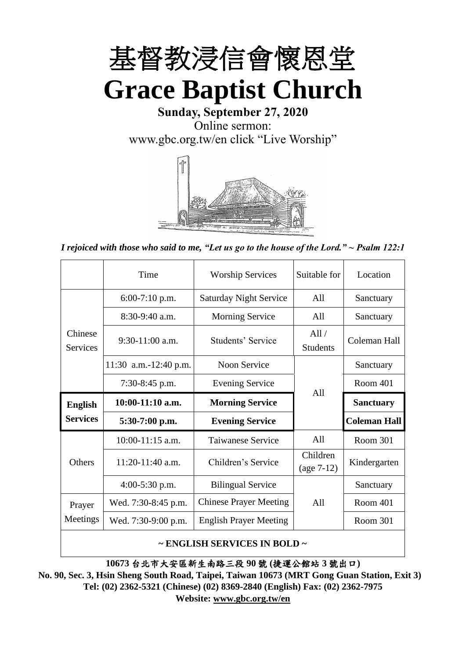

**Sunday, September 27, 2020** Online sermon: [www.gbc.org.tw/en](http://www.gbc.org.tw/en) click "Live Worship"



*I rejoiced with those who said to me, "Let us go to the house of the Lord." ~ Psalm 122:1*

|                            | Time                  | <b>Worship Services</b>       | Suitable for             | Location            |
|----------------------------|-----------------------|-------------------------------|--------------------------|---------------------|
|                            | $6:00-7:10$ p.m.      | <b>Saturday Night Service</b> | All                      | Sanctuary           |
|                            | $8:30-9:40$ a.m.      | <b>Morning Service</b>        | All                      | Sanctuary           |
| Chinese<br><b>Services</b> | $9:30-11:00$ a.m.     | Students' Service             | All/<br><b>Students</b>  | Coleman Hall        |
|                            | 11:30 a.m.-12:40 p.m. | Noon Service                  |                          | Sanctuary           |
|                            | $7:30-8:45$ p.m.      | <b>Evening Service</b>        | A11                      | Room 401            |
|                            |                       |                               |                          |                     |
| <b>English</b>             | $10:00-11:10$ a.m.    | <b>Morning Service</b>        |                          | <b>Sanctuary</b>    |
| <b>Services</b>            | $5:30-7:00$ p.m.      | <b>Evening Service</b>        |                          | <b>Coleman Hall</b> |
|                            | 10:00-11:15 a.m.      | <b>Taiwanese Service</b>      | All                      | Room 301            |
| <b>Others</b>              | $11:20-11:40$ a.m.    | Children's Service            | Children<br>$(age 7-12)$ | Kindergarten        |
|                            | $4:00-5:30$ p.m.      | <b>Bilingual Service</b>      |                          | Sanctuary           |
| Prayer                     | Wed. 7:30-8:45 p.m.   | <b>Chinese Prayer Meeting</b> | A11                      | Room 401            |
| Meetings                   | Wed. 7:30-9:00 p.m.   | <b>English Prayer Meeting</b> |                          | Room 301            |

#### **~ ENGLISH SERVICES IN BOLD ~**

**10673** 台北市大安區新生南路三段 **90** 號 **(**捷運公館站 **3** 號出口**)**

**No. 90, Sec. 3, Hsin Sheng South Road, Taipei, Taiwan 10673 (MRT Gong Guan Station, Exit 3) Tel: (02) 2362-5321 (Chinese) (02) 8369-2840 (English) Fax: (02) 2362-7975 Website: [www.gbc.org.tw/en](http://www.gbc.org.tw/en)**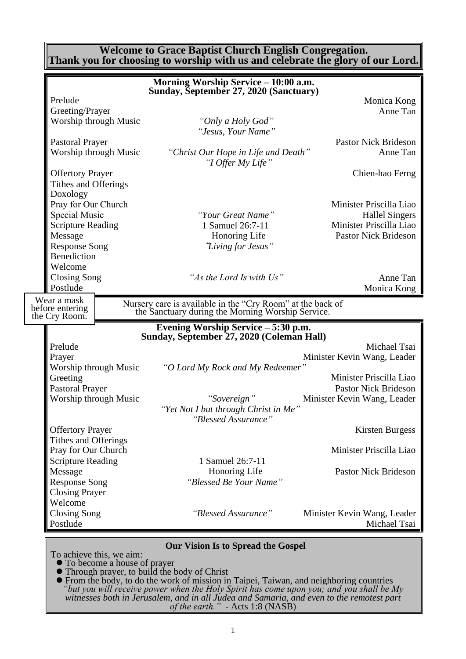#### **Welcome to Grace Baptist Church English Congregation. Thank you for choosing to worship with us and celebrate the glory of our Lord.**

|                          |                       | Morning Worship Service - 10:00 a.m.<br>Sunday, September 27, 2020 (Sanctuary)                                  |                             |
|--------------------------|-----------------------|-----------------------------------------------------------------------------------------------------------------|-----------------------------|
| Prelude                  |                       |                                                                                                                 | Monica Kong                 |
| Greeting/Prayer          |                       |                                                                                                                 | Anne Tan                    |
|                          | Worship through Music | "Only a Holy God"                                                                                               |                             |
|                          |                       |                                                                                                                 |                             |
|                          |                       | "Jesus, Your Name"                                                                                              |                             |
| <b>Pastoral Prayer</b>   |                       |                                                                                                                 | <b>Pastor Nick Brideson</b> |
|                          | Worship through Music | "Christ Our Hope in Life and Death"<br>"I Offer My Life"                                                        | Anne Tan                    |
| <b>Offertory Prayer</b>  |                       |                                                                                                                 | Chien-hao Ferng             |
| Tithes and Offerings     |                       |                                                                                                                 |                             |
| Doxology                 |                       |                                                                                                                 |                             |
| Pray for Our Church      |                       |                                                                                                                 | Minister Priscilla Liao     |
| <b>Special Music</b>     |                       | "Your Great Name"                                                                                               | <b>Hallel Singers</b>       |
| <b>Scripture Reading</b> |                       | 1 Samuel 26:7-11                                                                                                | Minister Priscilla Liao     |
|                          |                       | Honoring Life                                                                                                   | <b>Pastor Nick Brideson</b> |
| Message                  |                       |                                                                                                                 |                             |
| <b>Response Song</b>     |                       | "Living for Jesus"                                                                                              |                             |
| Benediction              |                       |                                                                                                                 |                             |
| Welcome                  |                       |                                                                                                                 |                             |
| <b>Closing Song</b>      |                       | "As the Lord Is with Us"                                                                                        | Anne Tan                    |
| Postlude                 |                       |                                                                                                                 | Monica Kong                 |
| Wear a mask              |                       |                                                                                                                 |                             |
| before entering          |                       | Nursery care is available in the "Cry Room" at the back of<br>the Sanctuary during the Morning Worship Service. |                             |
| the Cry Room.            |                       |                                                                                                                 |                             |
|                          |                       | Evening Worship Service - 5:30 p.m.                                                                             |                             |
|                          |                       | Sunday, September 27, 2020 (Coleman Hall)                                                                       |                             |
| Prelude                  |                       |                                                                                                                 |                             |
|                          |                       |                                                                                                                 | Michael Tsai                |
| Prayer                   |                       |                                                                                                                 | Minister Kevin Wang, Leader |
|                          | Worship through Music | "O Lord My Rock and My Redeemer"                                                                                |                             |
| Greeting                 |                       |                                                                                                                 | Minister Priscilla Liao     |
| <b>Pastoral Prayer</b>   |                       |                                                                                                                 | <b>Pastor Nick Brideson</b> |
|                          |                       |                                                                                                                 |                             |
|                          | Worship through Music | "Sovereign"                                                                                                     | Minister Kevin Wang, Leader |
|                          |                       | "Yet Not I but through Christ in Me"                                                                            |                             |
|                          |                       | "Blessed Assurance"                                                                                             |                             |
| <b>Offertory Prayer</b>  |                       |                                                                                                                 | <b>Kirsten Burgess</b>      |
| Tithes and Offerings     |                       |                                                                                                                 |                             |
| Pray for Our Church      |                       |                                                                                                                 | Minister Priscilla Liao     |
| <b>Scripture Reading</b> |                       | 1 Samuel 26:7-11                                                                                                |                             |
| Message                  |                       | Honoring Life                                                                                                   | <b>Pastor Nick Brideson</b> |
| <b>Response Song</b>     |                       | "Blessed Be Your Name"                                                                                          |                             |
| <b>Closing Prayer</b>    |                       |                                                                                                                 |                             |
| Welcome                  |                       |                                                                                                                 |                             |
| <b>Closing Song</b>      |                       | "Blessed Assurance"                                                                                             | Minister Kevin Wang, Leader |
| Postlude                 |                       |                                                                                                                 | Michael Tsai                |

#### **Our Vision Is to Spread the Gospel**

To achieve this, we aim:

⚫ To become a house of prayer

⚫ Through prayer, to build the body of Christ

⚫ From the body, to do the work of mission in Taipei, Taiwan, and neighboring countries *"but you will receive power when the Holy Spirit has come upon you; and you shall be My witnesses both in Jerusalem, and in all Judea and Samaria, and even to the remotest part of the earth." -* Acts 1:8 (NASB)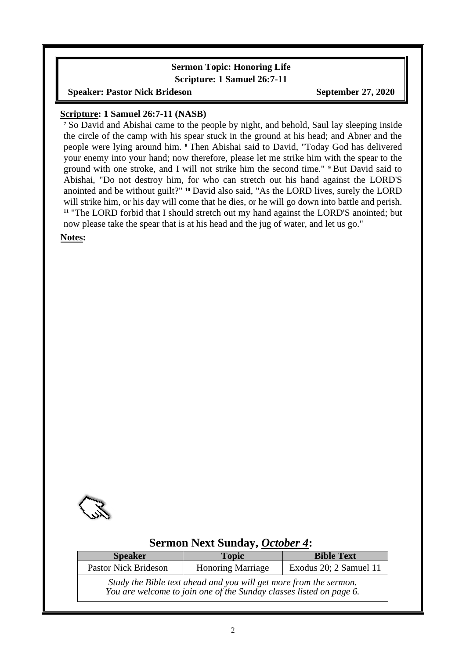# **Sermon Topic: Honoring Life**

**Scripture: 1 Samuel 26:7-11**

**Speaker: Pastor Nick Brideson September 27, 2020** 

#### **Scripture: 1 Samuel 26:7-11 (NASB)**

**<sup>7</sup>** So David and Abishai came to the people by night, and behold, Saul lay sleeping inside the circle of the camp with his spear stuck in the ground at his head; and Abner and the people were lying around him. **<sup>8</sup>** Then Abishai said to David, "Today God has delivered your enemy into your hand; now therefore, please let me strike him with the spear to the ground with one stroke, and I will not strike him the second time." **<sup>9</sup>** But David said to Abishai, "Do not destroy him, for who can stretch out his hand against the LORD'S anointed and be without guilt?" **<sup>10</sup>** David also said, "As the LORD lives, surely the LORD will strike him, or his day will come that he dies, or he will go down into battle and perish. **<sup>11</sup>** "The LORD forbid that I should stretch out my hand against the LORD'S anointed; but now please take the spear that is at his head and the jug of water, and let us go."

**Notes:**



### **Sermon Next Sunday,** *October 4***:**

| <b>Speaker</b>                                                                                                                           | <b>Topic</b>             | <b>Bible Text</b>      |  |  |  |
|------------------------------------------------------------------------------------------------------------------------------------------|--------------------------|------------------------|--|--|--|
| <b>Pastor Nick Brideson</b>                                                                                                              | <b>Honoring Marriage</b> | Exodus 20; 2 Samuel 11 |  |  |  |
| Study the Bible text ahead and you will get more from the sermon.<br>You are welcome to join one of the Sunday classes listed on page 6. |                          |                        |  |  |  |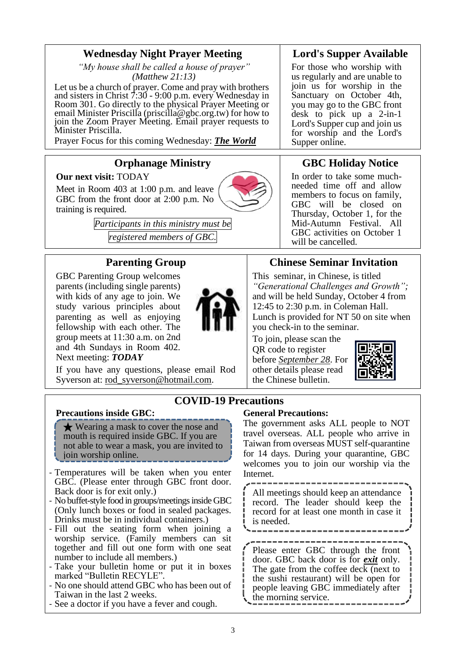# **Wednesday Night Prayer Meeting**

*"My house shall be called a house of prayer" (Matthew 21:13)*

Let us be a church of prayer. Come and pray with brothers and sisters in Christ 7:30 - 9:00 p.m. every Wednesday in Room 301. Go directly to the physical Prayer Meeting or email Minister Priscilla (priscilla@gbc.org.tw) for how to join the Zoom Prayer Meeting. Email prayer requests to Minister Priscilla.

Prayer Focus for this coming Wednesday: *The World*

### **Orphanage Ministry**

**Our next visit:** TODAY

Meet in Room 403 at 1:00 p.m. and leave GBC from the front door at 2:00 p.m. No training is required.

> *Participants in this ministry must be registered members of GBC.*

### **Parenting Group**

GBC Parenting Group welcomes parents (including single parents) with kids of any age to join. We study various principles about parenting as well as enjoying fellowship with each other. The group meets at 11:30 a.m. on 2nd and 4th Sundays in Room 402. Next meeting: *TODAY*

If you have any questions, please email Rod Syverson at: [rod\\_syverson@hotmail.com.](mailto:rod_syverson@hotmail.com)



### **Lord's Supper Available**

For those who worship with us regularly and are unable to join us for worship in the Sanctuary on October 4th, you may go to the GBC front desk to pick up a 2-in-1 Lord's Supper cup and join us for worship and the Lord's Supper online.

# **GBC Holiday Notice**

In order to take some muchneeded time off and allow members to focus on family, GBC will be closed on Thursday, October 1, for the Mid-Autumn Festival. All GBC activities on October 1 will be cancelled.

# **Chinese Seminar Invitation**

This seminar, in Chinese, is titled *"Generational Challenges and Growth";*  and will be held Sunday, October 4 from 12:45 to 2:30 p.m. in Coleman Hall. Lunch is provided for NT 50 on site when you check-in to the seminar.

To join, please scan the QR code to register before *September 28*. For other details please read the Chinese bulletin.



### **COVID-19 Precautions**

#### **Precautions inside GBC:**

★ Wearing a mask to cover the nose and mouth is required inside GBC. If you are not able to wear a mask, you are invited to join worship online.

- Temperatures will be taken when you enter GBC. (Please enter through GBC front door. Back door is for exit only.)
- No buffet-style food in groups/meetings inside GBC (Only lunch boxes or food in sealed packages. Drinks must be in individual containers.)
- Fill out the seating form when joining a worship service. (Family members can sit together and fill out one form with one seat number to include all members.)
- Take your bulletin home or put it in boxes marked "Bulletin RECYLE".
- No one should attend GBC who has been out of Taiwan in the last 2 weeks.
- See a doctor if you have a fever and cough.

#### **General Precautions:**

The government asks ALL people to NOT travel overseas. ALL people who arrive in Taiwan from overseas MUST self-quarantine for 14 days. During your quarantine, GBC welcomes you to join our worship via the Internet.

All meetings should keep an attendance record. The leader should keep the record for at least one month in case it is needed.

Please enter GBC through the front door. GBC back door is for *exit* only. The gate from the coffee deck (next to the sushi restaurant) will be open for people leaving GBC immediately after the morning service.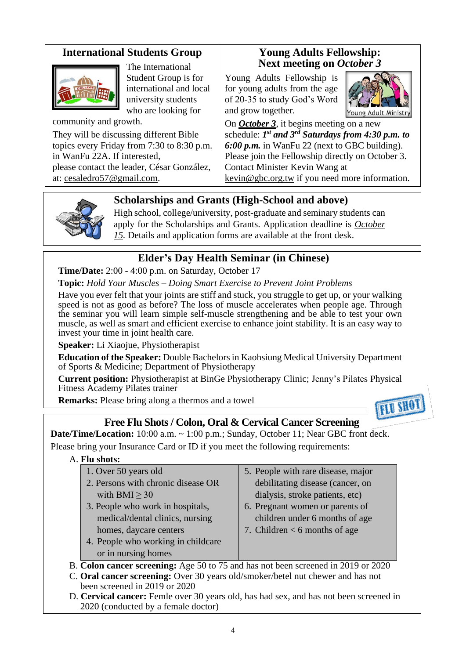# **International Students Group**



The International Student Group is for international and local university students who are looking for

community and growth.

They will be discussing different Bible topics every Friday from 7:30 to 8:30 p.m. in WanFu 22A. If interested, please contact the leader, César González, at: [cesaledro57@gmail.com.](mailto:cesaledro57@gmail.com)

### **Young Adults Fellowship: Next meeting on** *October 3*

Young Adults Fellowship is for young adults from the age of 20-35 to study God's Word and grow together.



On *October 3*, it begins meeting on a new schedule: *1 st and 3rd Saturdays from 4:30 p.m. to 6:00 p.m.* in WanFu 22 (next to GBC building). Please join the Fellowship directly on October 3. Contact Minister Kevin Wang at kevin@gbc.org.tw if you need more information.



# **Scholarships and Grants (High-School and above)**

High school, college/university, post-graduate and seminary students can apply for the Scholarships and Grants. Application deadline is *October 15.* Details and application forms are available at the front desk.

# **Elder's Day Health Seminar (in Chinese)**

**Time/Date:** 2:00 - 4:00 p.m. on Saturday, October 17

**Topic:** *Hold Your Muscles – Doing Smart Exercise to Prevent Joint Problems*

Have you ever felt that your joints are stiff and stuck, you struggle to get up, or your walking speed is not as good as before? The loss of muscle accelerates when people age. Through the seminar you will learn simple self-muscle strengthening and be able to test your own muscle, as well as smart and efficient exercise to enhance joint stability. It is an easy way to invest your time in joint health care.

**Speaker:** Li Xiaojue, Physiotherapist

**Education of the Speaker:** Double Bachelors in Kaohsiung Medical University Department of Sports & Medicine; Department of Physiotherapy

**Current position:** Physiotherapist at BinGe Physiotherapy Clinic; Jenny's Pilates Physical Fitness Academy Pilates trainer

**Remarks:** Please bring along a thermos and a towel



# **Free Flu Shots / Colon, Oral & Cervical Cancer Screening**

**Date/Time/Location:** 10:00 a.m. ~ 1:00 p.m.; Sunday, October 11; Near GBC front deck. Please bring your Insurance Card or ID if you meet the following requirements:

#### A. **Flu shots:**

| 1. Over 50 years old                                                              | 5. People with rare disease, major |
|-----------------------------------------------------------------------------------|------------------------------------|
| 2. Persons with chronic disease OR                                                | debilitating disease (cancer, on   |
| with BMI $\geq$ 30                                                                | dialysis, stroke patients, etc)    |
| 3. People who work in hospitals,                                                  | 6. Pregnant women or parents of    |
| medical/dental clinics, nursing                                                   | children under 6 months of age     |
| homes, daycare centers                                                            | 7. Children $<$ 6 months of age    |
| 4. People who working in childcare                                                |                                    |
| or in nursing homes                                                               |                                    |
| B. Colon cancer screening: Age 50 to 75 and has not been screened in 2019 or 2020 |                                    |
| C. Oral cancer screening: Over 30 years old/smoker/betel nut chewer and has not   |                                    |

- C. **Oral cancer screening:** Over 30 years old/smoker/betel nut chewer and has not been screened in 2019 or 2020
- D. **Cervical cancer:** Femle over 30 years old, has had sex, and has not been screened in 2020 (conducted by a female doctor)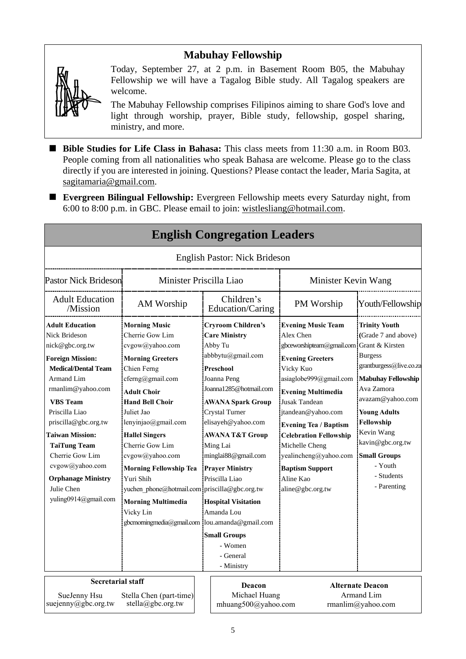# **Mabuhay Fellowship**



Today, September 27, at 2 p.m. in Basement Room B05, the Mabuhay Fellowship we will have a Tagalog Bible study. All Tagalog speakers are welcome.

The Mabuhay Fellowship comprises Filipinos aiming to share God's love and light through worship, prayer, Bible study, fellowship, gospel sharing, ministry, and more.

- Bible Studies for Life Class in Bahasa: This class meets from 11:30 a.m. in Room B03. People coming from all nationalities who speak Bahasa are welcome. Please go to the class directly if you are interested in joining. Questions? Please contact the leader, Maria Sagita, at sagitamaria@gmail.com.
- **Evergreen Bilingual Fellowship:** Evergreen Fellowship meets every Saturday night, from 6:00 to 8:00 p.m. in GBC. Please email to join: wistlesliang@hotmail.com.

|                                                                                                                                                                                                                                                                                                                                                                                             |                                                                                                                                                                                                                                                                                                                                                                                                                                                                         |  | <b>English Congregation Leaders</b>                                                                                                                                                                                                                                                                                                                                                                             |                                                                                                                                                                                                                                                                                                                                                                                                         |                                                                                                                                                                                                                                                                                               |  |
|---------------------------------------------------------------------------------------------------------------------------------------------------------------------------------------------------------------------------------------------------------------------------------------------------------------------------------------------------------------------------------------------|-------------------------------------------------------------------------------------------------------------------------------------------------------------------------------------------------------------------------------------------------------------------------------------------------------------------------------------------------------------------------------------------------------------------------------------------------------------------------|--|-----------------------------------------------------------------------------------------------------------------------------------------------------------------------------------------------------------------------------------------------------------------------------------------------------------------------------------------------------------------------------------------------------------------|---------------------------------------------------------------------------------------------------------------------------------------------------------------------------------------------------------------------------------------------------------------------------------------------------------------------------------------------------------------------------------------------------------|-----------------------------------------------------------------------------------------------------------------------------------------------------------------------------------------------------------------------------------------------------------------------------------------------|--|
|                                                                                                                                                                                                                                                                                                                                                                                             |                                                                                                                                                                                                                                                                                                                                                                                                                                                                         |  | English Pastor: Nick Brideson                                                                                                                                                                                                                                                                                                                                                                                   |                                                                                                                                                                                                                                                                                                                                                                                                         |                                                                                                                                                                                                                                                                                               |  |
| Minister Priscilla Liao<br><b>Pastor Nick Brideson</b>                                                                                                                                                                                                                                                                                                                                      |                                                                                                                                                                                                                                                                                                                                                                                                                                                                         |  |                                                                                                                                                                                                                                                                                                                                                                                                                 | Minister Kevin Wang                                                                                                                                                                                                                                                                                                                                                                                     |                                                                                                                                                                                                                                                                                               |  |
| <b>Adult Education</b><br>/Mission                                                                                                                                                                                                                                                                                                                                                          | AM Worship                                                                                                                                                                                                                                                                                                                                                                                                                                                              |  | Children's<br>Education/Caring                                                                                                                                                                                                                                                                                                                                                                                  | PM Worship                                                                                                                                                                                                                                                                                                                                                                                              | Youth/Fellowship                                                                                                                                                                                                                                                                              |  |
| <b>Adult Education</b><br><b>Nick Brideson</b><br>nick@gbc.org.tw<br><b>Foreign Mission:</b><br><b>Medical/Dental Team</b><br><b>Armand Lim</b><br>rmanlim@yahoo.com<br><b>VBS</b> Team<br>Priscilla Liao<br>priscilla@gbc.org.tw<br><b>Taiwan Mission:</b><br><b>TaiTung Team</b><br>Cherrie Gow Lim<br>cvgow@yahoo.com<br><b>Orphanage Ministry</b><br>Julie Chen<br>yuling0914@gmail.com | <b>Morning Music</b><br>Cherrie Gow Lim<br>cvgow@yahoo.com<br><b>Morning Greeters</b><br>Chien Ferng<br>cferng@gmail.com<br><b>Adult Choir</b><br><b>Hand Bell Choir</b><br>Juliet Jao<br>lenyinjao@gmail.com<br><b>Hallel Singers</b><br>Cherrie Gow Lim<br>cvgow@yahoo.com<br><b>Morning Fellowship Tea</b><br>Yuri Shih<br>yuchen_phone@hotmail.com priscilla@gbc.org.tw<br><b>Morning Multimedia</b><br>Vicky Lin<br>gbcmorningmedia@gmail.com lou.amanda@gmail.com |  | <b>Cryroom Children's</b><br><b>Care Ministry</b><br>Abby Tu<br>abbbytu@gmail.com<br>Preschool<br>Joanna Peng<br>Joanna1285@hotmail.com<br><b>AWANA Spark Group</b><br><b>Crystal Turner</b><br>elisayeh@yahoo.com<br>AWANA T&T Group<br>Ming Lai<br>minglai88@gmail.com<br><b>Prayer Ministry</b><br>Priscilla Liao<br><b>Hospital Visitation</b><br>Amanda Lou<br><b>Small Groups</b><br>- Women<br>- General | <b>Evening Music Team</b><br>Alex Chen<br>gbceworshipteam@gmail.com Grant & Kirsten<br><b>Evening Greeters</b><br>Vicky Kuo<br>asiaglobe999@gmail.com<br><b>Evening Multimedia</b><br><b>Jusak Tandean</b><br>jtandean@yahoo.com<br><b>Evening Tea / Baptism</b><br><b>Celebration Fellowship</b><br>Michelle Cheng<br>yealincheng@yahoo.com<br><b>Baptism Support</b><br>Aline Kao<br>aline@gbc.org.tw | <b>Trinity Youth</b><br>(Grade 7 and above)<br><b>Burgess</b><br>grantburgess@live.co.za<br><b>Mabuhay Fellowship</b><br>Ava Zamora<br>avazam@yahoo.com<br><b>Young Adults</b><br>Fellowship<br>Kevin Wang<br>kavin@gbc.org.tw<br><b>Small Groups</b><br>- Youth<br>- Students<br>- Parenting |  |
| <b>Secretarial staff</b><br>SueJenny Hsu<br>suejenny@gbc.org.tw                                                                                                                                                                                                                                                                                                                             | Stella Chen (part-time)<br>stella@gbc.org.tw                                                                                                                                                                                                                                                                                                                                                                                                                            |  | - Ministry<br>Deacon<br>Michael Huang<br>mhuang500@yahoo.com                                                                                                                                                                                                                                                                                                                                                    |                                                                                                                                                                                                                                                                                                                                                                                                         | <b>Alternate Deacon</b><br>Armand Lim<br>rmanlim@yahoo.com                                                                                                                                                                                                                                    |  |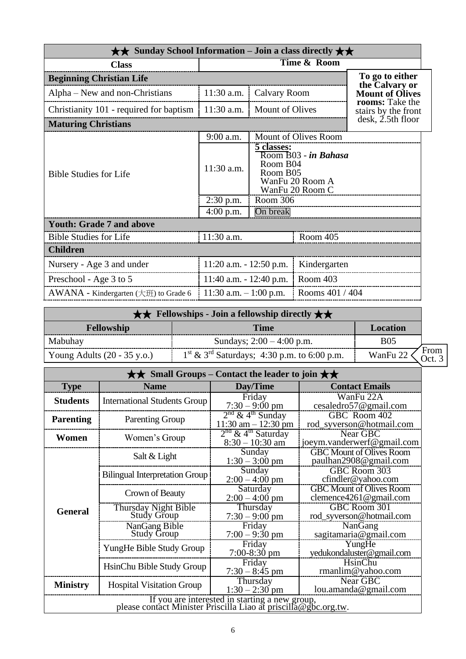| $\star\star$ Sunday School Information – Join a class directly $\star\star$                                             |                            |                         |                      |                                          |  |
|-------------------------------------------------------------------------------------------------------------------------|----------------------------|-------------------------|----------------------|------------------------------------------|--|
| <b>Class</b>                                                                                                            |                            |                         |                      |                                          |  |
| <b>Beginning Christian Life</b>                                                                                         |                            |                         |                      | To go to either                          |  |
| Alpha – New and non-Christians                                                                                          | $11:30$ a.m.               | Calvary Room            |                      | the Calvary or<br><b>Mount of Olives</b> |  |
| Christianity 101 - required for baptism                                                                                 | 11:30 a.m.                 | <b>Mount of Olives</b>  |                      | rooms: Take the<br>stairs by the front   |  |
| <b>Maturing Christians</b>                                                                                              |                            |                         |                      | $\mathrm{d}\mathrm{esk}$ , 2.5th floor   |  |
|                                                                                                                         | 9:00 a.m.                  |                         | Mount of Olives Room |                                          |  |
| 5 classes:<br>Room B04<br>11:30 a.m.<br>Room B05<br><b>Bible Studies for Life</b><br>WanFu 20 Room A<br>WanFu 20 Room C |                            | Room $B$ 03 - in Bahasa |                      |                                          |  |
|                                                                                                                         | $2:30$ p.m.                | Room 306                |                      |                                          |  |
|                                                                                                                         | $4:00$ p.m.                | On break                |                      |                                          |  |
| <b>Youth: Grade 7 and above</b>                                                                                         |                            |                         |                      |                                          |  |
| <b>Bible Studies for Life</b>                                                                                           | 11:30 a.m.<br>Room 405     |                         |                      |                                          |  |
| <b>Children</b>                                                                                                         |                            |                         |                      |                                          |  |
| Nursery - Age 3 and under                                                                                               | $11:20$ a.m. $-12:50$ p.m. |                         | Kindergarten         |                                          |  |
| Preschool - Age 3 to 5                                                                                                  | 11:40 a.m. $- 12:40$ p.m.  |                         | Room 403             |                                          |  |
| $AWANA$ - Kindergarten ( $\pm \text{ff}$ ) to Grade 6                                                                   | 11:30 a.m. $-1:00$ p.m.    |                         | Rooms 401 / 404      |                                          |  |

| $\star \star$ Fellowships - Join a fellowship directly $\star \star$ |                                                |                            |  |  |
|----------------------------------------------------------------------|------------------------------------------------|----------------------------|--|--|
| <b>Fellowship</b>                                                    | Time                                           | Location                   |  |  |
| Mabuhay                                                              | Sundays; $2:00 - 4:00$ p.m.                    | <b>B05</b>                 |  |  |
| Young Adults $(20 - 35 \text{ y.o.})$                                | $1st \& 3rd$ Saturdays; 4:30 p.m. to 6:00 p.m. | From<br>Oct. 3<br>WanFu 22 |  |  |

| Small Groups – Contact the leader to join $\star\star$                                                            |                                       |                                                                                                      |                                                               |  |  |
|-------------------------------------------------------------------------------------------------------------------|---------------------------------------|------------------------------------------------------------------------------------------------------|---------------------------------------------------------------|--|--|
| <b>Type</b>                                                                                                       | <b>Name</b>                           | Day/Time                                                                                             | <b>Contact Emails</b>                                         |  |  |
| <b>Students</b>                                                                                                   | <b>International Students Group</b>   | Friday<br>$7:30 - 9:00$ pm                                                                           | WanFu 22A<br>cesaledro57@gmail.com                            |  |  |
| <b>Parenting</b>                                                                                                  | <b>Parenting Group</b>                | $2nd$ & 4 <sup>th</sup> Sunday<br>GBC Room 402<br>rod_syverson@hotmail.com<br>$11:30$ am $-12:30$ pm |                                                               |  |  |
| Women                                                                                                             | Women's Group                         | $2nd$ & 4 <sup>th</sup> Saturday<br>Near GBC<br>joeym.vanderwerf@gmail.com<br>$8:30 - 10:30$ am      |                                                               |  |  |
|                                                                                                                   | Salt & Light                          | Sunday<br>$1:30 - 3:00$ pm                                                                           | <b>GBC Mount of Olives Room</b><br>paulhan2908@gmail.com      |  |  |
|                                                                                                                   | <b>Bilingual Interpretation Group</b> | Sunday<br>$2:00 - 4:00$ pm                                                                           | GBC Room 303<br>cfindler@yahoo.com                            |  |  |
|                                                                                                                   | Crown of Beauty                       | Saturday<br>$2:00 - 4:00$ pm                                                                         | <b>GBC Mount of Olives Room</b><br>clemence $4261$ @gmail.com |  |  |
| <b>General</b>                                                                                                    | Thursday Night Bible<br>Study Group   | Thursday<br>$7:30 - 9:00$ pm                                                                         | GBC Room 301<br>rod_syverson@hotmail.com                      |  |  |
|                                                                                                                   | NanGang Bible<br><b>Study Group</b>   | Friday<br>$7:00 - 9:30$ pm                                                                           | NanGang<br>sagitamaria@gmail.com                              |  |  |
|                                                                                                                   | YungHe Bible Study Group              | Friday<br>7:00-8:30 pm                                                                               | YungHe<br>yedukondaluster@gmail.com                           |  |  |
|                                                                                                                   | HsinChu Bible Study Group             | Friday<br>$7:30 - 8:45$ pm                                                                           | HsinChu<br>rmanlim@yahoo.com                                  |  |  |
| <b>Ministry</b>                                                                                                   | <b>Hospital Visitation Group</b>      | Thursday<br>$1:30 - 2:30$ pm                                                                         | <b>Near GBC</b><br>lou. amanda@gmail.com                      |  |  |
| If you are interested in starting a new group,<br>please contact Minister Priscilla Liao at priscilla@gbc.org.tw. |                                       |                                                                                                      |                                                               |  |  |